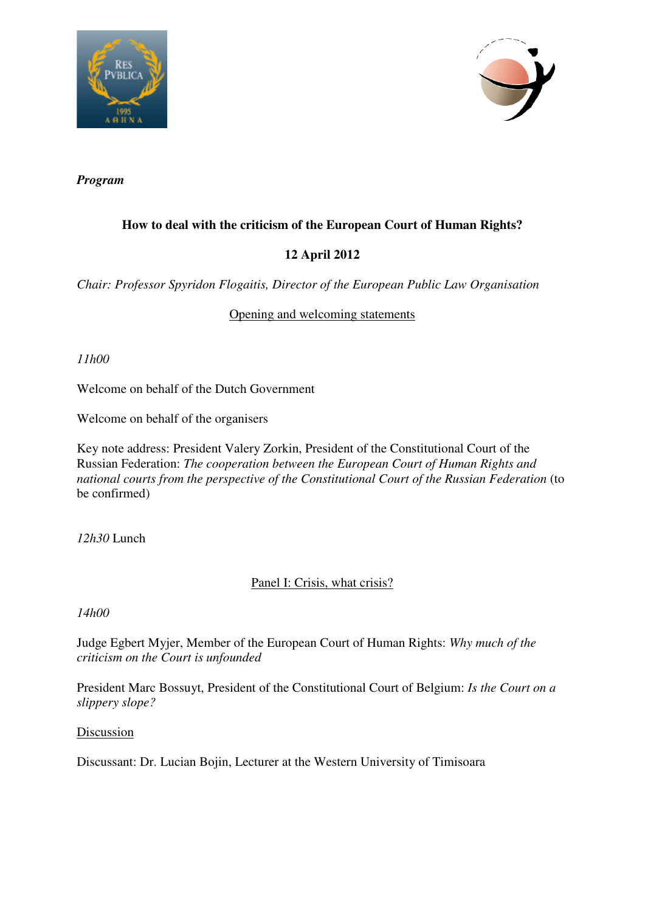



*Program* 

# **How to deal with the criticism of the European Court of Human Rights?**

# **12 April 2012**

*Chair: Professor Spyridon Flogaitis, Director of the European Public Law Organisation* 

## Opening and welcoming statements

*11h00* 

Welcome on behalf of the Dutch Government

Welcome on behalf of the organisers

Key note address: President Valery Zorkin, President of the Constitutional Court of the Russian Federation: *The cooperation between the European Court of Human Rights and national courts from the perspective of the Constitutional Court of the Russian Federation* (to be confirmed)

*12h30* Lunch

## Panel I: Crisis, what crisis?

*14h00* 

Judge Egbert Myjer, Member of the European Court of Human Rights: *Why much of the criticism on the Court is unfounded*

President Marc Bossuyt, President of the Constitutional Court of Belgium: *Is the Court on a slippery slope?*

Discussion

Discussant: Dr. Lucian Bojin, Lecturer at the Western University of Timisoara